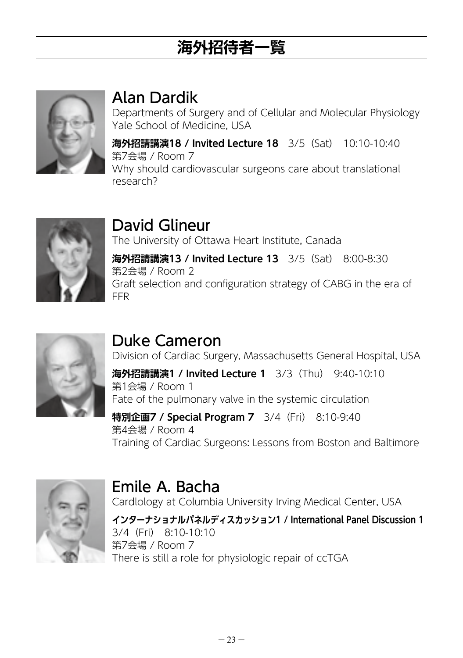# **海外招待者一覧**



#### Alan Dardik

Departments of Surgery and of Cellular and Molecular Physiology Yale School of Medicine, USA

**海外招請講演18 / Invited Lecture 18** 3/5(Sat) 10:10-10:40 第7会場 / Room 7 Why should cardiovascular surgeons care about translational research?



## David Glineur

The University of Ottawa Heart Institute, Canada

**海外招請講演13 / Invited Lecture 13** 3/5(Sat) 8:00-8:30 第2会場 / Room 2 Graft selection and configuration strategy of CABG in the era of FFR



### Duke Cameron

Emile A. Bacha

Division of Cardiac Surgery, Massachusetts General Hospital, USA

**海外招請講演1 / Invited Lecture 1** 3/3(Thu) 9:40-10:10 第1会場 / Room 1 Fate of the pulmonary valve in the systemic circulation

#### **特別企画7 / Special Program 7** 3/4 (Fri) 8:10-9:40 第4会場 / Room 4 Training of Cardiac Surgeons: Lessons from Boston and Baltimore



Cardlology at Columbia University Irving Medical Center, USA

**インターナショナルパネルディスカッション1 / International Panel Discussion 1** 3/4(Fri) 8:10-10:10 第7会場 / Room 7 There is still a role for physiologic repair of ccTGA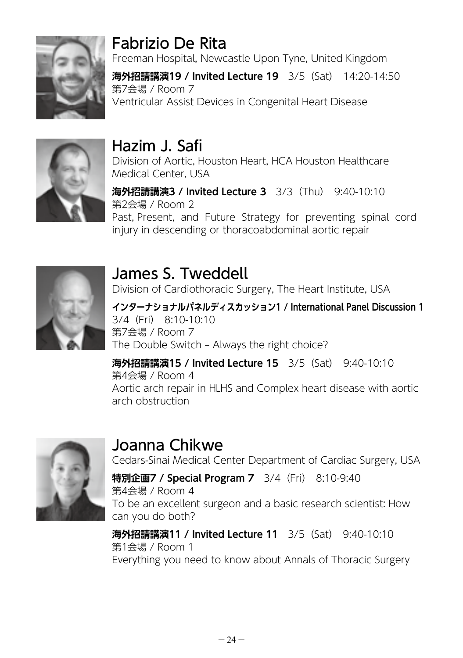

## Fabrizio De Rita

Freeman Hospital, Newcastle Upon Tyne, United Kingdom

**海外招請講演19 / Invited Lecture 19** 3/5(Sat) 14:20-14:50 第7会場 / Room 7 Ventricular Assist Devices in Congenital Heart Disease



## Hazim J. Safi

Division of Aortic, Houston Heart, HCA Houston Healthcare Medical Center, USA

**海外招請講演3 / Invited Lecture 3** 3/3(Thu) 9:40-10:10 第2会場 / Room 2 Past, Present, and Future Strategy for preventing spinal cord injury in descending or thoracoabdominal aortic repair



James S. Tweddell Division of Cardiothoracic Surgery, The Heart Institute, USA

**インターナショナルパネルディスカッション1 / International Panel Discussion 1** 3/4(Fri) 8:10-10:10 第7会場 / Room 7 The Double Switch – Always the right choice?

**海外招請講演15 / Invited Lecture 15** 3/5(Sat) 9:40-10:10 第4会場 / Room 4 Aortic arch repair in HLHS and Complex heart disease with aortic arch obstruction



### Joanna Chikwe

Cedars-Sinai Medical Center Department of Cardiac Surgery, USA

**特別企画7 / Special Program 7** 3/4 (Fri) 8:10-9:40 第4会場 / Room 4 To be an excellent surgeon and a basic research scientist: How can you do both?

**海外招請講演11 / Invited Lecture 11** 3/5(Sat) 9:40-10:10 第1会場 / Room 1 Everything you need to know about Annals of Thoracic Surgery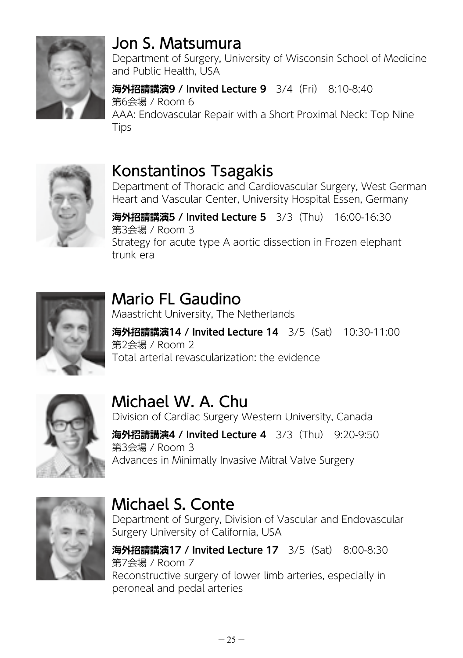

#### Jon S. Matsumura

Department of Surgery, University of Wisconsin School of Medicine and Public Health, USA

**海外招請講演9 / Invited Lecture 9** 3/4(Fri) 8:10-8:40 第6会場 / Room 6 AAA: Endovascular Repair with a Short Proximal Neck: Top Nine Tips



#### Konstantinos Tsagakis

Department of Thoracic and Cardiovascular Surgery, West German Heart and Vascular Center, University Hospital Essen, Germany

**海外招請講演5 / Invited Lecture 5** 3/3(Thu) 16:00-16:30 第3会場 / Room 3 Strategy for acute type A aortic dissection in Frozen elephant trunk era



#### Mario FL Gaudino

Maastricht University, The Netherlands

**海外招請講演14 / Invited Lecture 14** 3/5(Sat) 10:30-11:00 第2会場 / Room 2 Total arterial revascularization: the evidence



## Michael W. A. Chu

Division of Cardiac Surgery Western University, Canada

**海外招請講演4 / Invited Lecture 4** 3/3(Thu) 9:20-9:50 第3会場 / Room 3 Advances in Minimally Invasive Mitral Valve Surgery



## Michael S. Conte

Department of Surgery, Division of Vascular and Endovascular Surgery University of California, USA

**海外招請講演17 / Invited Lecture 17** 3/5(Sat) 8:00-8:30 第7会場 / Room 7 Reconstructive surgery of lower limb arteries, especially in peroneal and pedal arteries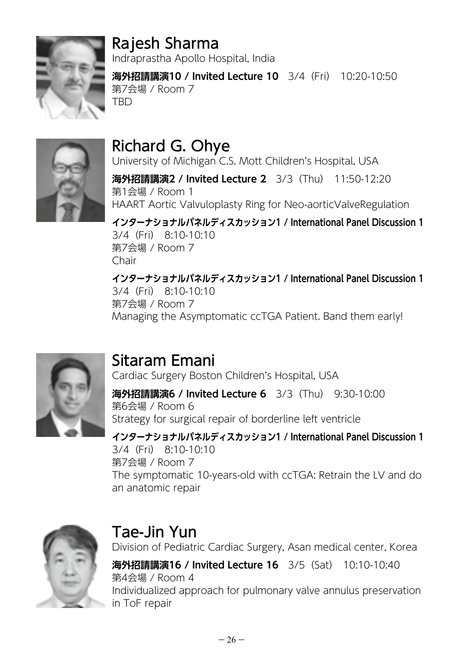

## Rajesh Sharma

Indraprastha Apollo Hospital, India

**海外招請講演10 / Invited Lecture 10** 3/4(Fri) 10:20-10:50 第7会場 / Room 7 **TRD** 



## Richard G. Ohye

University of Michigan C.S. Mott Children's Hospital, USA

**海外招請講演2 / Invited Lecture 2** 3/3(Thu) 11:50-12:20 第1会場 / Room 1 HAART Aortic Valvuloplasty Ring for Neo-aorticValveRegulation

**インターナショナルパネルディスカッション1 / International Panel Discussion 1** 3/4(Fri) 8:10-10:10 第7会場 / Room 7 Chair

**インターナショナルパネルディスカッション1 / International Panel Discussion 1** 3/4(Fri) 8:10-10:10 第7会場 / Room 7 Managing the Asymptomatic ccTGA Patient. Band them early!



## Sitaram Emani

Cardiac Surgery Boston Children's Hospital, USA

**海外招請講演6 / Invited Lecture 6** 3/3(Thu) 9:30-10:00 第6会場 / Room 6 Strategy for surgical repair of borderline left ventricle

#### **インターナショナルパネルディスカッション1 / International Panel Discussion 1** 3/4(Fri) 8:10-10:10 第7会場 / Room 7 The symptomatic 10-years-old with ccTGA: Retrain the LV and do an anatomic repair



### Tae-Jin Yun

Division of Pediatric Cardiac Surgery, Asan medical center, Korea **海外招請講演16 / Invited Lecture 16** 3/5(Sat) 10:10-10:40 第4会場 / Room 4 Individualized approach for pulmonary valve annulus preservation in ToF repair